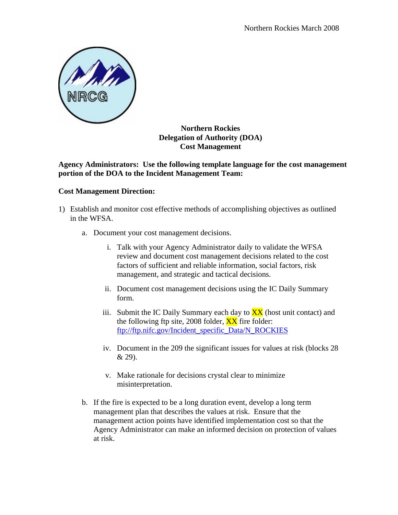

## **Northern Rockies Delegation of Authority (DOA) Cost Management**

## **Agency Administrators: Use the following template language for the cost management portion of the DOA to the Incident Management Team:**

## **Cost Management Direction:**

- 1) Establish and monitor cost effective methods of accomplishing objectives as outlined in the WFSA.
	- a. Document your cost management decisions.
		- i. Talk with your Agency Administrator daily to validate the WFSA review and document cost management decisions related to the cost factors of sufficient and reliable information, social factors, risk management, and strategic and tactical decisions.
		- ii. Document cost management decisions using the IC Daily Summary form.
		- iii. Submit the IC Daily Summary each day to  $\overline{XX}$  (host unit contact) and the following ftp site, 2008 folder,  $\frac{XX}{XX}$  fire folder: [ftp://ftp.nifc.gov/Incident\\_specific\\_Data/N\\_ROCKIES](ftp://ftp.nifc.gov/Incident_specific_Data/N_ROCKIES)
		- iv. Document in the 209 the significant issues for values at risk (blocks 28 & 29).
		- v. Make rationale for decisions crystal clear to minimize misinterpretation.
	- b. If the fire is expected to be a long duration event, develop a long term management plan that describes the values at risk. Ensure that the management action points have identified implementation cost so that the Agency Administrator can make an informed decision on protection of values at risk.